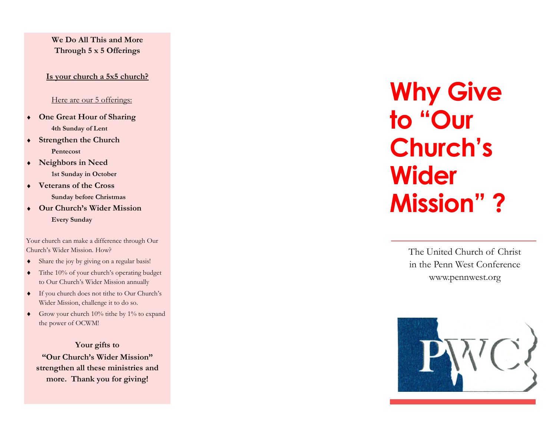**We Do All This and More Through 5 x 5 Offerings** 

#### **Is your church a 5x5 church?**

Here are our 5 offerings:

- ♦ **One Great Hour of Sharing 4th Sunday of Lent**
- **Strengthen the Church Pentecost**
- ♦ **Neighbors in Need 1st Sunday in October**
- ♦ **Veterans of the Cross Sunday before Christmas**
- **Our Church's Wider Mission Every Sunday**

Your church can make a difference through Our Church's Wider Mission. How?

- ♦ Share the joy by giving on a regular basis!
- ♦ Tithe 10% of your church's operating budget to Our Church's Wider Mission annually
- ♦ If you church does not tithe to Our Church's Wider Mission, challenge it to do so.
- $\blacklozenge$  Grow your church 10% tithe by 1% to expand the power of OCWM!

**Your gifts to "Our Church's Wider Mission" strengthen all these ministries and more. Thank you for giving!** 

# **Why Give to "Our Church's Wider Mission" ?**

The United Church of Christ in the Penn West Conference www.pennwest.org